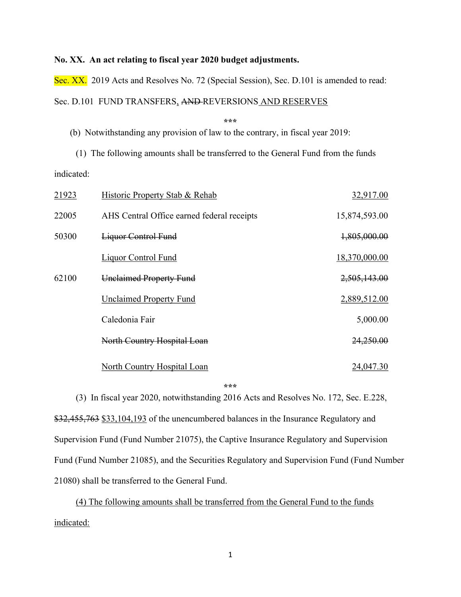### No. XX. An act relating to fiscal year 2020 budget adjustments.

Sec. XX. 2019 Acts and Resolves No. 72 (Special Session), Sec. D.101 is amended to read: Sec. D.101 FUND TRANSFERS, AND REVERSIONS AND RESERVES

\*\*\*

(b) Notwithstanding any provision of law to the contrary, in fiscal year 2019:

(1) The following amounts shall be transferred to the General Fund from the funds indicated:

| 21923 | Historic Property Stab & Rehab             | 32,917.00     |
|-------|--------------------------------------------|---------------|
| 22005 | AHS Central Office earned federal receipts | 15,874,593.00 |
| 50300 | <b>Liquor Control Fund</b>                 | 1,805,000.00  |
|       | <b>Liquor Control Fund</b>                 | 18,370,000.00 |
| 62100 | <b>Unclaimed Property Fund</b>             | 2,505,143.00  |
|       | <b>Unclaimed Property Fund</b>             | 2,889,512.00  |
|       | Caledonia Fair                             | 5,000.00      |
|       | North Country Hospital Loan                | 24,250.00     |
|       | North Country Hospital Loan                | 24,047.30     |

\*\*\*

(3) In fiscal year 2020, notwithstanding 2016 Acts and Resolves No. 172, Sec. E.228, \$32,455,763 \$33,104,193 of the unencumbered balances in the Insurance Regulatory and Supervision Fund (Fund Number 21075), the Captive Insurance Regulatory and Supervision Fund (Fund Number 21085), and the Securities Regulatory and Supervision Fund (Fund Number 21080) shall be transferred to the General Fund.

(4) The following amounts shall be transferred from the General Fund to the funds indicated: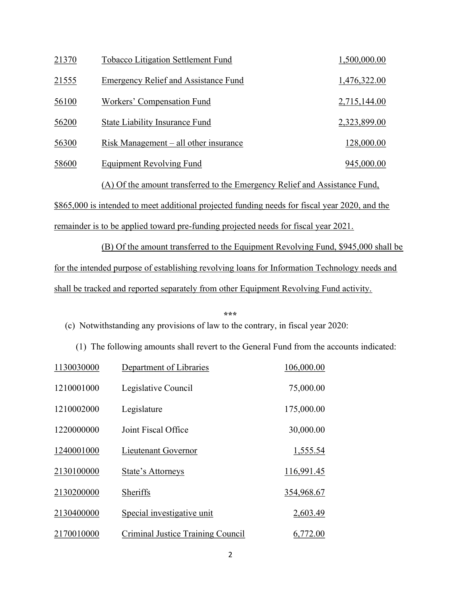| 21370 | <b>Tobacco Litigation Settlement Fund</b>                                  | 1,500,000.00 |
|-------|----------------------------------------------------------------------------|--------------|
| 21555 | <b>Emergency Relief and Assistance Fund</b>                                | 1,476,322.00 |
| 56100 | Workers' Compensation Fund                                                 | 2,715,144.00 |
| 56200 | <b>State Liability Insurance Fund</b>                                      | 2,323,899.00 |
| 56300 | $Risk$ Management $-$ all other insurance                                  | 128,000.00   |
| 58600 | Equipment Revolving Fund                                                   | 945,000.00   |
|       | (A) Of the amount transferred to the Emergency Relief and Assistance Fund, |              |

\$865,000 is intended to meet additional projected funding needs for fiscal year 2020, and the remainder is to be applied toward pre-funding projected needs for fiscal year 2021.

 (B) Of the amount transferred to the Equipment Revolving Fund, \$945,000 shall be for the intended purpose of establishing revolving loans for Information Technology needs and shall be tracked and reported separately from other Equipment Revolving Fund activity.

### \*\*\* (c) Notwithstanding any provisions of law to the contrary, in fiscal year 2020:

(1) The following amounts shall revert to the General Fund from the accounts indicated:

| 1130030000 | Department of Libraries           | 106,000.00 |
|------------|-----------------------------------|------------|
| 1210001000 | Legislative Council               | 75,000.00  |
| 1210002000 | Legislature                       | 175,000.00 |
| 1220000000 | Joint Fiscal Office               | 30,000.00  |
| 1240001000 | Lieutenant Governor               | 1,555.54   |
| 2130100000 | State's Attorneys                 | 116,991.45 |
| 2130200000 | Sheriffs                          | 354,968.67 |
| 2130400000 | Special investigative unit        | 2,603.49   |
| 2170010000 | Criminal Justice Training Council | 6,772.00   |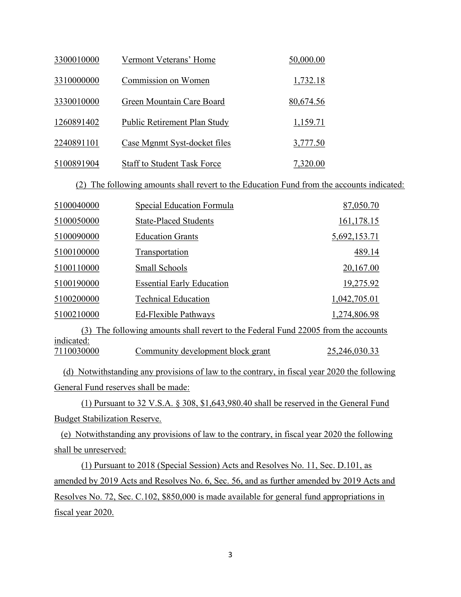| 3300010000 | Vermont Veterans' Home             | 50,000.00 |
|------------|------------------------------------|-----------|
| 3310000000 | Commission on Women                | 1,732.18  |
| 3330010000 | Green Mountain Care Board          | 80,674.56 |
| 1260891402 | Public Retirement Plan Study       | 1,159.71  |
| 2240891101 | Case Mgnmt Syst-docket files       | 3,777.50  |
| 5100891904 | <b>Staff to Student Task Force</b> | 7,320.00  |

(2) The following amounts shall revert to the Education Fund from the accounts indicated:

| 5100040000                                                                            | Special Education Formula         | 87,050.70     |  |  |
|---------------------------------------------------------------------------------------|-----------------------------------|---------------|--|--|
| 5100050000                                                                            | <b>State-Placed Students</b>      | 161,178.15    |  |  |
| 5100090000                                                                            | <b>Education Grants</b>           | 5,692,153.71  |  |  |
| 5100100000                                                                            | Transportation                    | 489.14        |  |  |
| 5100110000                                                                            | Small Schools                     | 20,167.00     |  |  |
| 5100190000                                                                            | <b>Essential Early Education</b>  | 19,275.92     |  |  |
| 5100200000                                                                            | <b>Technical Education</b>        | 1,042,705.01  |  |  |
| 5100210000                                                                            | Ed-Flexible Pathways              | 1,274,806.98  |  |  |
| The following amounts shall revert to the Federal Fund 22005 from the accounts<br>(3) |                                   |               |  |  |
| indicated:                                                                            |                                   |               |  |  |
| 7110030000                                                                            | Community development block grant | 25,246,030.33 |  |  |

 (d) Notwithstanding any provisions of law to the contrary, in fiscal year 2020 the following General Fund reserves shall be made:

 (1) Pursuant to 32 V.S.A. § 308, \$1,643,980.40 shall be reserved in the General Fund Budget Stabilization Reserve.

 (e) Notwithstanding any provisions of law to the contrary, in fiscal year 2020 the following shall be unreserved:

 (1) Pursuant to 2018 (Special Session) Acts and Resolves No. 11, Sec. D.101, as amended by 2019 Acts and Resolves No. 6, Sec. 56, and as further amended by 2019 Acts and Resolves No. 72, Sec. C.102, \$850,000 is made available for general fund appropriations in fiscal year 2020.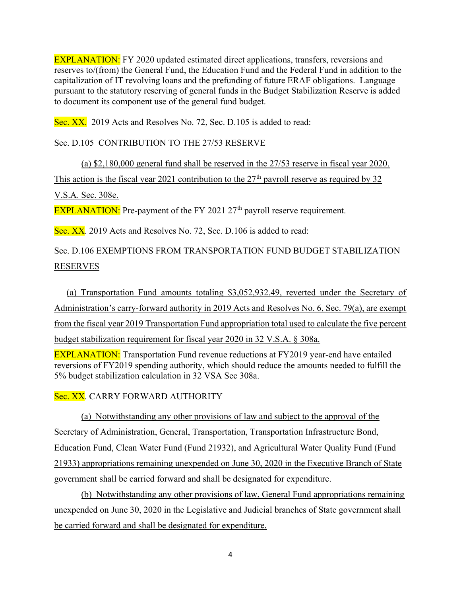EXPLANATION: FY 2020 updated estimated direct applications, transfers, reversions and reserves to/(from) the General Fund, the Education Fund and the Federal Fund in addition to the capitalization of IT revolving loans and the prefunding of future ERAF obligations. Language pursuant to the statutory reserving of general funds in the Budget Stabilization Reserve is added to document its component use of the general fund budget.

Sec. XX. 2019 Acts and Resolves No. 72, Sec. D.105 is added to read:

# Sec. D.105 CONTRIBUTION TO THE 27/53 RESERVE

(a) \$2,180,000 general fund shall be reserved in the 27/53 reserve in fiscal year 2020. This action is the fiscal year 2021 contribution to the  $27<sup>th</sup>$  payroll reserve as required by 32 V.S.A. Sec. 308e.

EXPLANATION: Pre-payment of the FY 2021 27<sup>th</sup> payroll reserve requirement.

Sec. XX. 2019 Acts and Resolves No. 72, Sec. D.106 is added to read:

# Sec. D.106 EXEMPTIONS FROM TRANSPORTATION FUND BUDGET STABILIZATION RESERVES

(a) Transportation Fund amounts totaling \$3,052,932.49, reverted under the Secretary of Administration's carry-forward authority in 2019 Acts and Resolves No. 6, Sec. 79(a), are exempt from the fiscal year 2019 Transportation Fund appropriation total used to calculate the five percent budget stabilization requirement for fiscal year 2020 in 32 V.S.A. § 308a.

EXPLANATION: Transportation Fund revenue reductions at FY2019 year-end have entailed reversions of FY2019 spending authority, which should reduce the amounts needed to fulfill the 5% budget stabilization calculation in 32 VSA Sec 308a.

Sec. XX. CARRY FORWARD AUTHORITY

 (a) Notwithstanding any other provisions of law and subject to the approval of the Secretary of Administration, General, Transportation, Transportation Infrastructure Bond, Education Fund, Clean Water Fund (Fund 21932), and Agricultural Water Quality Fund (Fund 21933) appropriations remaining unexpended on June 30, 2020 in the Executive Branch of State government shall be carried forward and shall be designated for expenditure.

 (b) Notwithstanding any other provisions of law, General Fund appropriations remaining unexpended on June 30, 2020 in the Legislative and Judicial branches of State government shall be carried forward and shall be designated for expenditure.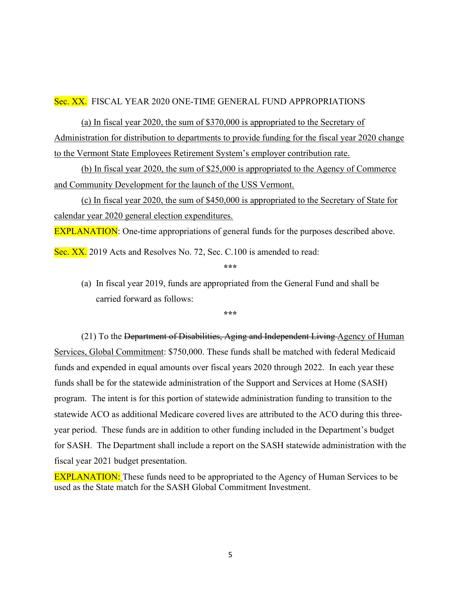### Sec. XX. FISCAL YEAR 2020 ONE-TIME GENERAL FUND APPROPRIATIONS

 (a) In fiscal year 2020, the sum of \$370,000 is appropriated to the Secretary of Administration for distribution to departments to provide funding for the fiscal year 2020 change to the Vermont State Employees Retirement System's employer contribution rate.

 (b) In fiscal year 2020, the sum of \$25,000 is appropriated to the Agency of Commerce and Community Development for the launch of the USS Vermont.

 (c) In fiscal year 2020, the sum of \$450,000 is appropriated to the Secretary of State for calendar year 2020 general election expenditures.

**EXPLANATION:** One-time appropriations of general funds for the purposes described above.

Sec. XX. 2019 Acts and Resolves No. 72, Sec. C.100 is amended to read:

\*\*\*

(a) In fiscal year 2019, funds are appropriated from the General Fund and shall be carried forward as follows:

\*\*\*

(21) To the Department of Disabilities, Aging and Independent Living Agency of Human Services, Global Commitment: \$750,000. These funds shall be matched with federal Medicaid funds and expended in equal amounts over fiscal years 2020 through 2022. In each year these funds shall be for the statewide administration of the Support and Services at Home (SASH) program. The intent is for this portion of statewide administration funding to transition to the statewide ACO as additional Medicare covered lives are attributed to the ACO during this threeyear period. These funds are in addition to other funding included in the Department's budget for SASH. The Department shall include a report on the SASH statewide administration with the fiscal year 2021 budget presentation.

**EXPLANATION:** These funds need to be appropriated to the Agency of Human Services to be used as the State match for the SASH Global Commitment Investment.

5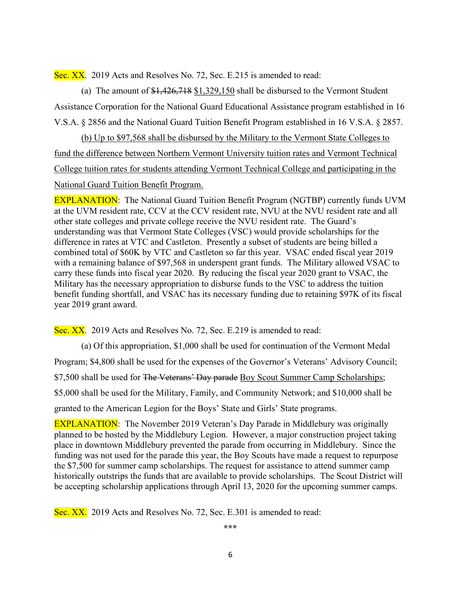Sec. XX. 2019 Acts and Resolves No. 72, Sec. E.215 is amended to read:

(a) The amount of  $$1,426,718$   $$1,329,150$  shall be disbursed to the Vermont Student Assistance Corporation for the National Guard Educational Assistance program established in 16 V.S.A. § 2856 and the National Guard Tuition Benefit Program established in 16 V.S.A. § 2857.

(b) Up to \$97,568 shall be disbursed by the Military to the Vermont State Colleges to fund the difference between Northern Vermont University tuition rates and Vermont Technical College tuition rates for students attending Vermont Technical College and participating in the National Guard Tuition Benefit Program.

EXPLANATION: The National Guard Tuition Benefit Program (NGTBP) currently funds UVM at the UVM resident rate, CCV at the CCV resident rate, NVU at the NVU resident rate and all other state colleges and private college receive the NVU resident rate. The Guard's understanding was that Vermont State Colleges (VSC) would provide scholarships for the difference in rates at VTC and Castleton. Presently a subset of students are being billed a combined total of \$60K by VTC and Castleton so far this year. VSAC ended fiscal year 2019 with a remaining balance of \$97,568 in underspent grant funds. The Military allowed VSAC to carry these funds into fiscal year 2020. By reducing the fiscal year 2020 grant to VSAC, the Military has the necessary appropriation to disburse funds to the VSC to address the tuition benefit funding shortfall, and VSAC has its necessary funding due to retaining \$97K of its fiscal year 2019 grant award.

Sec. XX. 2019 Acts and Resolves No. 72, Sec. E.219 is amended to read:

(a) Of this appropriation, \$1,000 shall be used for continuation of the Vermont Medal Program; \$4,800 shall be used for the expenses of the Governor's Veterans' Advisory Council; \$7,500 shall be used for The Veterans' Day parade Boy Scout Summer Camp Scholarships; \$5,000 shall be used for the Military, Family, and Community Network; and \$10,000 shall be granted to the American Legion for the Boys' State and Girls' State programs.

EXPLANATION: The November 2019 Veteran's Day Parade in Middlebury was originally planned to be hosted by the Middlebury Legion. However, a major construction project taking place in downtown Middlebury prevented the parade from occurring in Middlebury. Since the funding was not used for the parade this year, the Boy Scouts have made a request to repurpose the \$7,500 for summer camp scholarships. The request for assistance to attend summer camp historically outstrips the funds that are available to provide scholarships. The Scout District will be accepting scholarship applications through April 13, 2020 for the upcoming summer camps.

Sec. XX. 2019 Acts and Resolves No. 72, Sec. E.301 is amended to read:

\*\*\*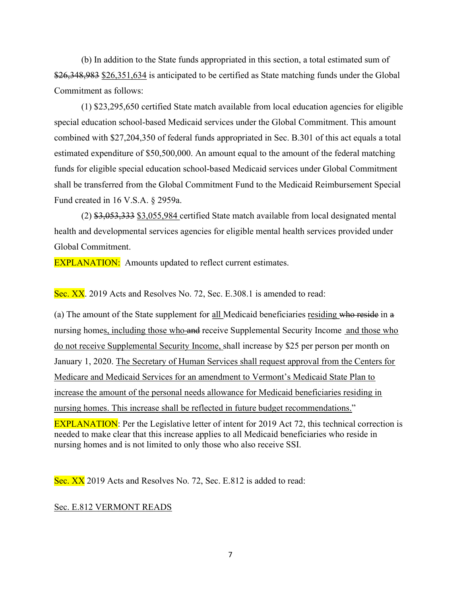(b) In addition to the State funds appropriated in this section, a total estimated sum of \$26,348,983 \$26,351,634 is anticipated to be certified as State matching funds under the Global Commitment as follows:

(1) \$23,295,650 certified State match available from local education agencies for eligible special education school-based Medicaid services under the Global Commitment. This amount combined with \$27,204,350 of federal funds appropriated in Sec. B.301 of this act equals a total estimated expenditure of \$50,500,000. An amount equal to the amount of the federal matching funds for eligible special education school-based Medicaid services under Global Commitment shall be transferred from the Global Commitment Fund to the Medicaid Reimbursement Special Fund created in 16 V.S.A. § 2959a.

(2) \$3,053,333 \$3,055,984 certified State match available from local designated mental health and developmental services agencies for eligible mental health services provided under Global Commitment.

**EXPLANATION:** Amounts updated to reflect current estimates.

Sec. XX. 2019 Acts and Resolves No. 72, Sec. E.308.1 is amended to read:

(a) The amount of the State supplement for all Medicaid beneficiaries residing who reside in a nursing homes, including those who and receive Supplemental Security Income and those who do not receive Supplemental Security Income, shall increase by \$25 per person per month on January 1, 2020. The Secretary of Human Services shall request approval from the Centers for Medicare and Medicaid Services for an amendment to Vermont's Medicaid State Plan to increase the amount of the personal needs allowance for Medicaid beneficiaries residing in nursing homes. This increase shall be reflected in future budget recommendations." EXPLANATION: Per the Legislative letter of intent for 2019 Act 72, this technical correction is needed to make clear that this increase applies to all Medicaid beneficiaries who reside in nursing homes and is not limited to only those who also receive SSI.

Sec. XX 2019 Acts and Resolves No. 72, Sec. E.812 is added to read:

#### Sec. E.812 VERMONT READS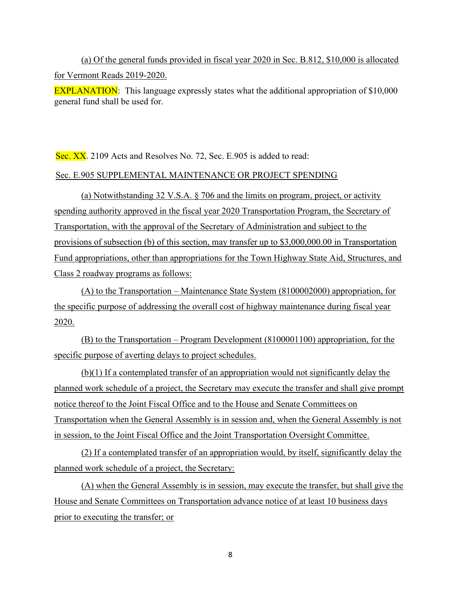(a) Of the general funds provided in fiscal year 2020 in Sec. B.812, \$10,000 is allocated for Vermont Reads 2019-2020.

EXPLANATION: This language expressly states what the additional appropriation of \$10,000 general fund shall be used for.

Sec. XX. 2109 Acts and Resolves No. 72, Sec. E.905 is added to read: Sec. E.905 SUPPLEMENTAL MAINTENANCE OR PROJECT SPENDING

(a) Notwithstanding 32 V.S.A. § 706 and the limits on program, project, or activity spending authority approved in the fiscal year 2020 Transportation Program, the Secretary of Transportation, with the approval of the Secretary of Administration and subject to the provisions of subsection (b) of this section, may transfer up to \$3,000,000.00 in Transportation Fund appropriations, other than appropriations for the Town Highway State Aid, Structures, and Class 2 roadway programs as follows:

(A) to the Transportation – Maintenance State System (8100002000) appropriation, for the specific purpose of addressing the overall cost of highway maintenance during fiscal year 2020.

(B) to the Transportation – Program Development (8100001100) appropriation, for the specific purpose of averting delays to project schedules.

(b)(1) If a contemplated transfer of an appropriation would not significantly delay the planned work schedule of a project, the Secretary may execute the transfer and shall give prompt notice thereof to the Joint Fiscal Office and to the House and Senate Committees on Transportation when the General Assembly is in session and, when the General Assembly is not in session, to the Joint Fiscal Office and the Joint Transportation Oversight Committee.

(2) If a contemplated transfer of an appropriation would, by itself, significantly delay the planned work schedule of a project, the Secretary:

(A) when the General Assembly is in session, may execute the transfer, but shall give the House and Senate Committees on Transportation advance notice of at least 10 business days prior to executing the transfer; or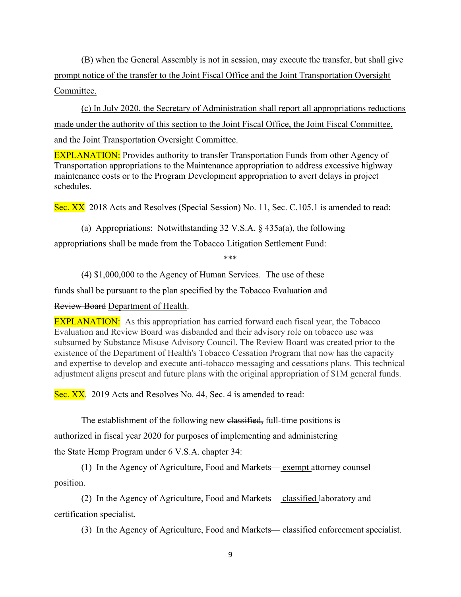(B) when the General Assembly is not in session, may execute the transfer, but shall give prompt notice of the transfer to the Joint Fiscal Office and the Joint Transportation Oversight Committee.

(c) In July 2020, the Secretary of Administration shall report all appropriations reductions made under the authority of this section to the Joint Fiscal Office, the Joint Fiscal Committee, and the Joint Transportation Oversight Committee.

EXPLANATION: Provides authority to transfer Transportation Funds from other Agency of Transportation appropriations to the Maintenance appropriation to address excessive highway maintenance costs or to the Program Development appropriation to avert delays in project schedules.

Sec. XX 2018 Acts and Resolves (Special Session) No. 11, Sec. C.105.1 is amended to read:

(a) Appropriations: Notwithstanding  $32 \text{ V.S.A.}$  §  $435a(a)$ , the following

appropriations shall be made from the Tobacco Litigation Settlement Fund:

\*\*\*

(4) \$1,000,000 to the Agency of Human Services. The use of these

funds shall be pursuant to the plan specified by the Tobacco Evaluation and

Review Board Department of Health.

**EXPLANATION:** As this appropriation has carried forward each fiscal year, the Tobacco Evaluation and Review Board was disbanded and their advisory role on tobacco use was subsumed by Substance Misuse Advisory Council. The Review Board was created prior to the existence of the Department of Health's Tobacco Cessation Program that now has the capacity and expertise to develop and execute anti-tobacco messaging and cessations plans. This technical adjustment aligns present and future plans with the original appropriation of \$1M general funds.

Sec. XX. 2019 Acts and Resolves No. 44, Sec. 4 is amended to read:

The establishment of the following new elassified, full-time positions is authorized in fiscal year 2020 for purposes of implementing and administering the State Hemp Program under 6 V.S.A. chapter 34:

(1) In the Agency of Agriculture, Food and Markets— exempt attorney counsel position.

(2) In the Agency of Agriculture, Food and Markets— classified laboratory and certification specialist.

(3) In the Agency of Agriculture, Food and Markets— classified enforcement specialist.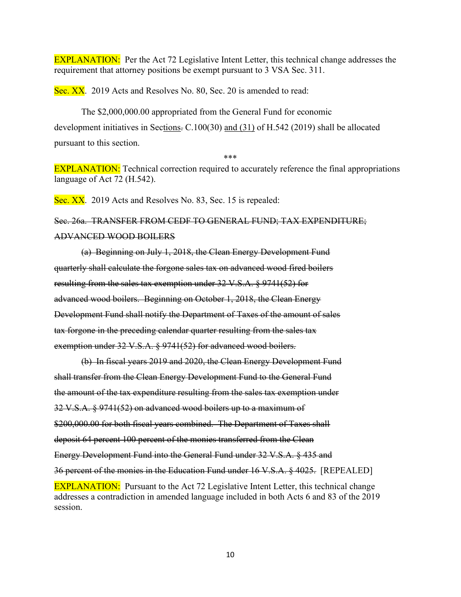EXPLANATION: Per the Act 72 Legislative Intent Letter, this technical change addresses the requirement that attorney positions be exempt pursuant to 3 VSA Sec. 311.

Sec. XX. 2019 Acts and Resolves No. 80, Sec. 20 is amended to read:

The \$2,000,000.00 appropriated from the General Fund for economic development initiatives in Sections. C.100(30) and (31) of H.542 (2019) shall be allocated pursuant to this section.

\*\*\*

EXPLANATION: Technical correction required to accurately reference the final appropriations language of Act 72 (H.542).

Sec. XX. 2019 Acts and Resolves No. 83, Sec. 15 is repealed:

Sec. 26a. TRANSFER FROM CEDF TO GENERAL FUND; TAX EXPENDITURE; ADVANCED WOOD BOILERS

(a) Beginning on July 1, 2018, the Clean Energy Development Fund quarterly shall calculate the forgone sales tax on advanced wood fired boilers resulting from the sales tax exemption under 32 V.S.A. § 9741(52) for advanced wood boilers. Beginning on October 1, 2018, the Clean Energy Development Fund shall notify the Department of Taxes of the amount of sales tax forgone in the preceding calendar quarter resulting from the sales tax exemption under 32 V.S.A. § 9741(52) for advanced wood boilers.

(b) In fiscal years 2019 and 2020, the Clean Energy Development Fund shall transfer from the Clean Energy Development Fund to the General Fund the amount of the tax expenditure resulting from the sales tax exemption under 32 V.S.A. § 9741(52) on advanced wood boilers up to a maximum of \$200,000.00 for both fiscal years combined. The Department of Taxes shall deposit 64 percent 100 percent of the monies transferred from the Clean Energy Development Fund into the General Fund under 32 V.S.A. § 435 and 36 percent of the monies in the Education Fund under 16 V.S.A. § 4025. [REPEALED] EXPLANATION: Pursuant to the Act 72 Legislative Intent Letter, this technical change addresses a contradiction in amended language included in both Acts 6 and 83 of the 2019 session.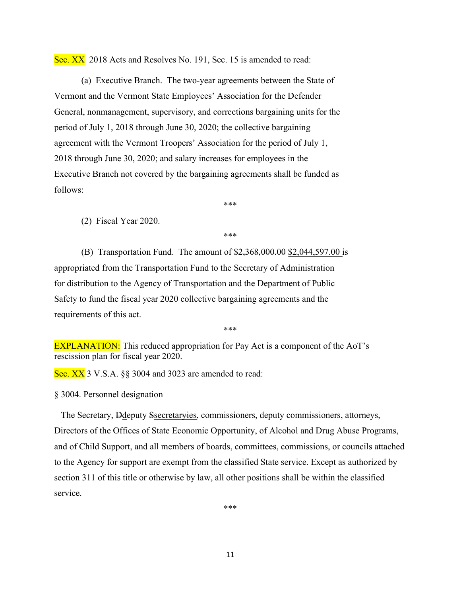Sec. XX 2018 Acts and Resolves No. 191, Sec. 15 is amended to read:

(a) Executive Branch. The two-year agreements between the State of Vermont and the Vermont State Employees' Association for the Defender General, nonmanagement, supervisory, and corrections bargaining units for the period of July 1, 2018 through June 30, 2020; the collective bargaining agreement with the Vermont Troopers' Association for the period of July 1, 2018 through June 30, 2020; and salary increases for employees in the Executive Branch not covered by the bargaining agreements shall be funded as follows:

\*\*\*

(2) Fiscal Year 2020.

\*\*\*

(B) Transportation Fund. The amount of \$2,368,000.00 \$2,044,597.00 is appropriated from the Transportation Fund to the Secretary of Administration for distribution to the Agency of Transportation and the Department of Public Safety to fund the fiscal year 2020 collective bargaining agreements and the requirements of this act.

\*\*\*

EXPLANATION: This reduced appropriation for Pay Act is a component of the AoT's rescission plan for fiscal year 2020.

Sec. XX 3 V.S.A. §§ 3004 and 3023 are amended to read:

§ 3004. Personnel designation

 The Secretary, Ddeputy Ssecretaryies, commissioners, deputy commissioners, attorneys, Directors of the Offices of State Economic Opportunity, of Alcohol and Drug Abuse Programs, and of Child Support, and all members of boards, committees, commissions, or councils attached to the Agency for support are exempt from the classified State service. Except as authorized by section 311 of this title or otherwise by law, all other positions shall be within the classified service.

\*\*\*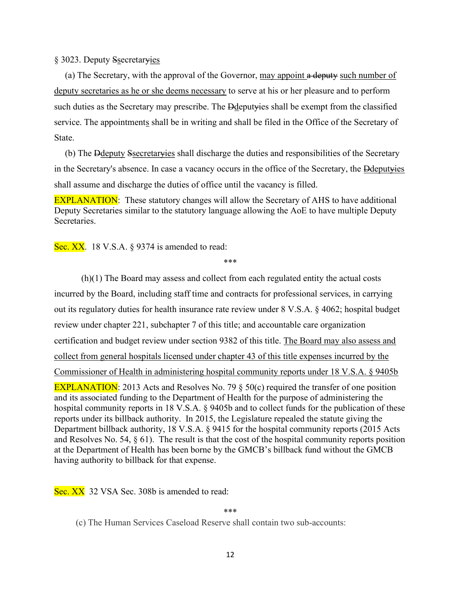§ 3023. Deputy Ssecretaryies

(a) The Secretary, with the approval of the Governor, may appoint a deputy such number of deputy secretaries as he or she deems necessary to serve at his or her pleasure and to perform such duties as the Secretary may prescribe. The Ddeputyies shall be exempt from the classified service. The appointments shall be in writing and shall be filed in the Office of the Secretary of State.

(b) The Ddeputy Ssecretaryies shall discharge the duties and responsibilities of the Secretary in the Secretary's absence. In case a vacancy occurs in the office of the Secretary, the Ddeputyies shall assume and discharge the duties of office until the vacancy is filled.

EXPLANATION: These statutory changes will allow the Secretary of AHS to have additional Deputy Secretaries similar to the statutory language allowing the AoE to have multiple Deputy Secretaries.

Sec. XX. 18 V.S.A. § 9374 is amended to read:

\*\*\*

(h)(1) The Board may assess and collect from each regulated entity the actual costs incurred by the Board, including staff time and contracts for professional services, in carrying out its regulatory duties for health insurance rate review under 8 V.S.A. § 4062; hospital budget review under chapter 221, subchapter 7 of this title; and accountable care organization certification and budget review under section 9382 of this title. The Board may also assess and collect from general hospitals licensed under chapter 43 of this title expenses incurred by the Commissioner of Health in administering hospital community reports under 18 V.S.A. § 9405b EXPLANATION: 2013 Acts and Resolves No. 79  $\S$  50(c) required the transfer of one position and its associated funding to the Department of Health for the purpose of administering the hospital community reports in 18 V.S.A. § 9405b and to collect funds for the publication of these reports under its billback authority. In 2015, the Legislature repealed the statute giving the Department billback authority, 18 V.S.A. § 9415 for the hospital community reports (2015 Acts and Resolves No. 54, § 61). The result is that the cost of the hospital community reports position at the Department of Health has been borne by the GMCB's billback fund without the GMCB having authority to billback for that expense.

Sec. XX 32 VSA Sec. 308b is amended to read:

\*\*\*

(c) The Human Services Caseload Reserve shall contain two sub-accounts: